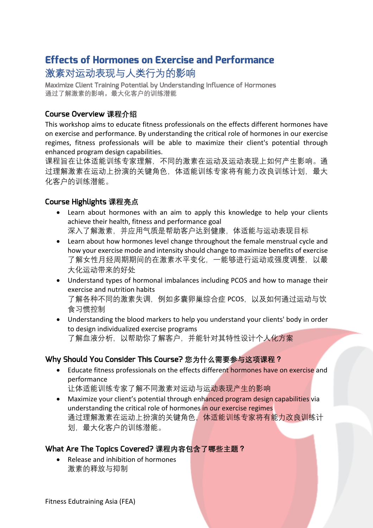# **Effects of Hormones on Exercise and Performance** 激素对运动表现与人类行为的影响

Maximize Client Training Potential by Understanding Influence of Hormones **通过了解激素的影响,最大化客户的训练潜能**

## Course Overview **课程介绍**

This workshop aims to educate fitness professionals on the effects different hormones have on exercise and performance. By understanding the critical role of hormones in our exercise regimes, fitness professionals will be able to maximize their client's potential through enhanced program design capabilities.

课程旨在让体适能训练专家理解,不同的激素在运动及运动表现上如何产生影响。通 过理解激素在运动上扮演的关键角色,体适能训练专家将有能力改良训练计划,最大 化客户的训练潜能。

## Course Highlights **课程亮点**

- Learn about hormones with an aim to apply this knowledge to help your clients achieve their health, fitness and performance goal 深入了解激素, 并应用气质是帮助客户达到健康, 体适能与运动表现目标
- Learn about how hormones level change throughout the female menstrual cycle and how your exercise mode and intensity should change to maximize benefits of exercise 了解女性月经周期期间的在激素水平变化,一能够进行运动或强度调整,以最 大化运动带来的好处
- Understand types of hormonal imbalances including PCOS and how to manage their exercise and nutrition habits 了解各种不同的激素失调,例如多囊卵巢综合症 PCOS,以及如何通过运动与饮 食习惯控制
- Understanding the blood markers to help you understand your clients' body in order to design individualized exercise programs 了解血液分析,以帮助你了解客户,并能针对其特性设计个人化方案

#### Why Should You Consider This Course? **您为什么需要参与这项课程?**

• Educate fitness professionals on the effects different hormones have on exercise and performance

让体适能训练专家了解不同激素对运动与运动表现产生的影响

Maximize your client's potential through enhanced program design capabilities via understanding the critical role of hormones in our exercise regimes 通过理解激素在运动上扮演的关键角色,体适能训练专家将有能力改良训练计 划,最大化客户的训练潜能。

#### What Are The Topics Covered? **课程内容包含了哪些主题?**

• Release and inhibition of hormones 激素的释放与抑制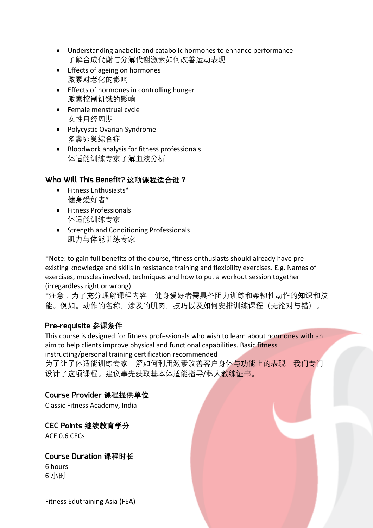- Understanding anabolic and catabolic hormones to enhance performance 了解合成代谢与分解代谢激素如何改善运动表现
- Effects of ageing on hormones 激素对老化的影响
- Effects of hormones in controlling hunger 激素控制饥饿的影响
- Female menstrual cycle 女性月经周期
- Polycystic Ovarian Syndrome 多囊卵巢综合症
- Bloodwork analysis for fitness professionals 体适能训练专家了解血液分析

# Who Will This Benefit? **这项课程适合谁?**

- Fitness Enthusiasts\* 健身爱好者\*
- Fitness Professionals 体适能训练专家
- Strength and Conditioning Professionals 肌力与体能训练专家

\*Note: to gain full benefits of the course, fitness enthusiasts should already have preexisting knowledge and skills in resistance training and flexibility exercises. E.g. Names of exercises, muscles involved, techniques and how to put a workout session together (irregardless right or wrong).

\*注意:为了充分理解课程内容,健身爱好者需具备阻力训练和柔韧性动作的知识和技 能。例如。动作的名称,涉及的肌肉,技巧以及如何安排训练课程(无论对与错)。

# Pre-requisite **参课条件**

This course is designed for fitness professionals who wish to learn about hormones with an aim to help clients improve physical and functional capabilities. Basic fitness instructing/personal training certification recommended

为了让了体适能训练专家,解如何利用激素改善客户身体与功能上的表现,我们专门 设计了这项课程。建议事先获取基本体适能指导/私人教练证书。

#### Course Provider **课程提供单位**

Classic Fitness Academy, India

#### CEC Points **继续教育学分**

ACE 0.6 CECs

#### Course Duration **课程时长**

6 hours 6 小时

Fitness Edutraining Asia (FEA)